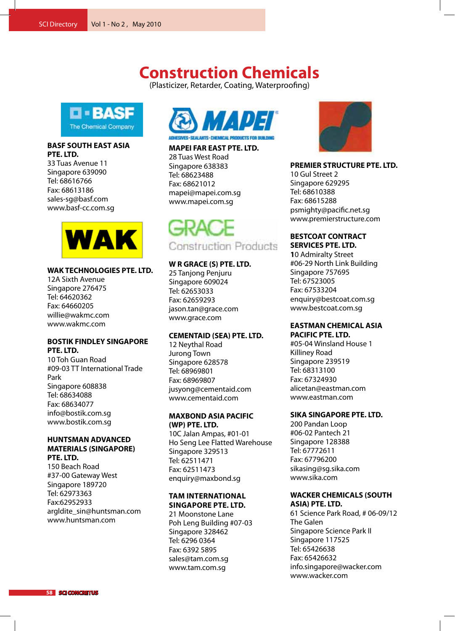**Centrillit Function** 

## **Construction Chemicals**

(Plasticizer, Retarder, Coating, Waterproofing)



### **BASF SOUTH EAST ASIA PTE. LTD.**

33 Tuas Avenue 11 Singapore 639090 Tel: 68616766 Fax: 68613186 sales-sg@basf.com www.basf-cc.com.sg



### **WAK TECHNOLOGIES PTE. LTD.**

12A Sixth Avenue Singapore 276475 Tel: 64620362 Fax: 64660205 willie@wakmc.com www.wakmc.com

### **BOSTIK FINDLEY SINGAPORE PTE. LTD.**

10 Toh Guan Road #09-03 TT International Trade Park Singapore 608838 Tel: 68634088 Fax: 68634077 info@bostik.com.sg www.bostik.com.sg

### **HUNTSMAN ADVANCED MATERIALS (SINGAPORE) PTE. LTD.**

150 Beach Road #37-00 Gateway West Singapore 189720 Tel: 62973363 Fax:62952933 argldite\_sin@huntsman.com www.huntsman.com



### **MAPEI FAR EAST PTE. LTD.**

28 Tuas West Road Singapore 638383 Tel: 68623488 Fax: 68621012 mapei@mapei.com.sg www.mapei.com.sg

Construction Products

### **W R GRACE (S) PTE. LTD.**

25 Tanjong Penjuru Singapore 609024 Tel: 62653033 Fax: 62659293 jason.tan@grace.com www.grace.com

### **CEMENTAID (SEA) PTE. LTD.**

12 Neythal Road Jurong Town Singapore 628578 Tel: 68969801 Fax: 68969807 jusyong@cementaid.com www.cementaid.com

### **MAXBOND ASIA PACIFIC (WP) PTE. LTD.**

10C Jalan Ampas, #01-01 Ho Seng Lee Flatted Warehouse Singapore 329513 Tel: 62511471 Fax: 62511473 enquiry@maxbond.sg

### **TAM International Singapore Pte. Ltd.**

21 Moonstone Lane Poh Leng Building #07-03 Singapore 328462 Tel: 6296 0364 Fax: 6392 5895 sales@tam.com.sg www.tam.com.sg



### **PREMIER STRUCTURE PTE. LTD.**

10 Gul Street 2 Singapore 629295 Tel: 68610388 Fax: 68615288 psmighty@pacific.net.sg www.premierstructure.com

## **BESTCOAT CONTRACT**

**SERVICES PTE. LTD. 1**0 Admiralty Street #06-29 North Link Building Singapore 757695 Tel: 67523005 Fax: 67533204 enquiry@bestcoat.com.sg www.bestcoat.com.sg

### **EASTMAN CHEMICAL ASIA PACIFIC PTE. LTD.**

#05-04 Winsland House 1 Killiney Road Singapore 239519 Tel: 68313100 Fax: 67324930 alicetan@eastman.com www.eastman.com

### **SIKA SINGAPORE PTE. LTD.**

200 Pandan Loop #06-02 Pantech 21 Singapore 128388 Tel: 67772611 Fax: 67796200 sikasing@sg.sika.com www.sika.com

### **WACKER CHEMICALS (SOUTH ASIA) PTE. LTD.**

61 Science Park Road, # 06-09/12 The Galen Singapore Science Park II Singapore 117525 Tel: 65426638 Fax: 65426632 info.singapore@wacker.com www.wacker.com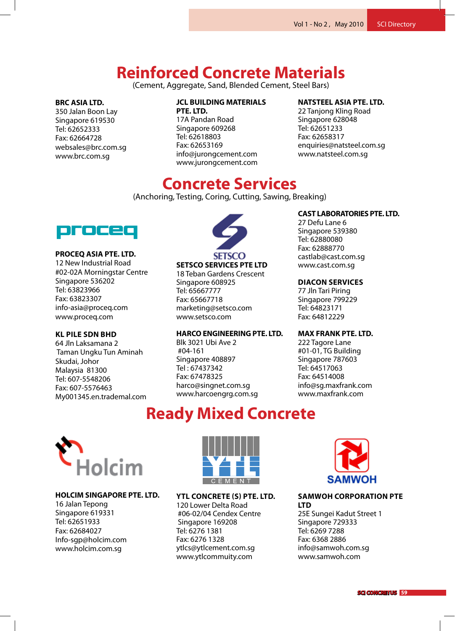**Precast and** 

**Pre-stressed** 

**Concrete**

#### **Soncrete Materials** 16 Jalan Tepong **Reinforced Concrete Materials**

and Blende  $\frac{1}{2}$ (Cement, Aggregate, Sand, Blended Cement, Steel Bars)  $\overline{a}$ 

### **BRC ASIA LTD.**

350 Jalan Boon Lay Singapore 619530 Tel: 62652333 Fax: 62664728 websales@brc.com.sg www.brc.com.sg

#### **JCL BUILDING MATERIALS** ING MATE

**PTE. LTD.** 17A Pandan Road Singapore 609268 Tel: 62618803 **Fax: 62653169** info@jurongcement.com www.jurongcement.com igeemendeem

## **NATSTEEL ASIA PTE. LTD.**

**Singapore 628048** Tel: 62651233 Fax: 62658317 enquiries@natsteel.com.sg Tel: 648<br>Detectoral con www.natsteel.com.sg 22 Tanjong Kling Road

### ha Co **Concrete Services**

(Anchoring, Testing, Coring, Cutting, Sawing, Breaking) **PTE LTD**



### **PROCEQ ASIA PTE. LTD.**

12 New Industrial Road #02-02A Morningstar Centre Singapore 536202 Tel: 63823966 Fax: 63823307 info-asia@proceq.com www.proceq.com

### **Kl Pile Sdn Bhd**

64 Jln Laksamana 2 Taman Ungku Tun Aminah Skudai, Johor Malaysia 81300 Tel: 607-5548206 Fax: 607-5576463 My001345.en.trademal.com



18 Teban Gardens Crescent nd Cardinal Cardinal Crescent<br>Singapore 608925 Tel: 65667777 Tel: 65667777 Fax: 65667718 Fax: 65667718 marketing@setsco.com marketing@setsco.com www.setsco.com www.setsco.com UUUJZJ<br>""

### **Harco Engineering Pte. Ltd.**

Blk 3021 Ubi Ave 2 #04-161 Singapore 408897 Tel : 67437342 Fax: 67478325 harco@singnet.com.sg www.harcoengrg.com.sg

#### **ADODATODIES DTE ITD CAST LABORATORIES PTE. LTD.**

27 Defu Lane 6 **Fax: 65854344** Singapore 539380 **ken.loh@panunited.com.sg** Tel: 62880080 **www.panunited.com.sg** Fax: 62888770 castlab@cast.com.sg www.cast.com.sg

### **Diacon Services**

Singapore 799229 **LTD** Tel: 64823171 י כבט.<br>סבר במ Fax: 64812229 77 Jln Tari Piring

### **MAX FRANK PTE. LTD.**

222 Tagore Lane  $TC$  Ruilding. #01-01, TG Building<br>Sin name w. 797693 Singapore 787603 Tel: 64517063 Fax: 64514008 info@sg.maxfrank.com www.maxfrank.com

## **Ready Mixed Concrete**



### **HOLCIM SINGAPORE PTE. LTD.**

16 Jalan Tepong Singapore 619331 Tel: 62651933 Fax: 62684027 Info-sgp@holcim.com www.holcim.com.sg



**YTL CONCRETE (S) PTE. LTD.**

120 Lower Delta Road #06-02/04 Cendex Centre Singapore 169208 Tel: 6276 1381 Fax: 6276 1328 ytlcs@ytlcement.com.sg www.ytlcommuity.com



### **Samwoh corporation pte ltd**

25E Sungei Kadut Street 1 Singapore 729333 Tel: 6269 7288 Fax: 6368 2886 info@samwoh.com.sg www.samwoh.com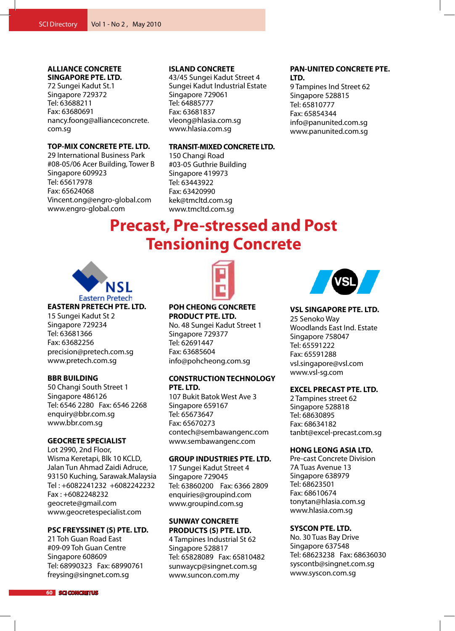### **ALLIANCE CONCRETE SINGAPORE PTE. LTD.**

72 Sungei Kadut St.1 Singapore 729372 Tel: 63688211 Fax: 63680691 nancy.foong@allianceconcrete. com.sg

### **TOP-MIX CONCRETE PTE. LTD.**

29 International Business Park #08-05/06 Acer Building, Tower B Singapore 609923 Tel: 65617978 Fax: 65624068 Vincent.ong@engro-global.com www.engro-global.com

### **ISLAND CONCRETE**

43/45 Sungei Kadut Street 4 Sungei Kadut Industrial Estate Singapore 729061 Tel: 64885777 Fax: 63681837 vleong@hlasia.com.sg www.hlasia.com.sg

### **TRANSIT-MIXED CONCRETE LTD.**

150 Changi Road #03-05 Guthrie Building Singapore 419973 Tel: 63443922 Fax: 63420990 kek@tmcltd.com.sg www.tmcltd.com.sg

### **PAN-UNITED CONCRETE PTE. LTD.**

9 Tampines Ind Street 62 Singapore 528815 Tel: 65810777 Fax: 65854344 info@panunited.com.sg www.panunited.com.sg

# **Precast, Pre-stressed and Post Tensioning Concrete**



### **EASTERN PRETECH PTE. LTD.**

15 Sungei Kadut St 2 Singapore 729234 Tel: 63681366 Fax: 63682256 precision@pretech.com.sg www.pretech.com.sg

### **BBR BUILDING**

50 Changi South Street 1 Singapore 486126 Tel: 6546 2280 Fax: 6546 2268 enquiry@bbr.com.sg www.bbr.com.sg

### **GEOCRETE SPECIALIST**

Lot 2990, 2nd Floor, Wisma Keretapi, Blk 10 KCLD, Jalan Tun Ahmad Zaidi Adruce, 93150 Kuching, Sarawak.Malaysia Tel : +6082241232 +6082242232 Fax : +6082248232 geocrete@gmail.com www.geocretespecialist.com

### **PSC FREYSSINET (S) PTE. LTD.**

21 Toh Guan Road East #09-09 Toh Guan Centre Singapore 608609 Tel: 68990323 Fax: 68990761 freysing@singnet.com.sg



**POH CHEONG CONCRETE PRODUCT PTE. LTD.**

No. 48 Sungei Kadut Street 1 Singapore 729377 Tel: 62691447 Fax: 63685604 info@pohcheong.com.sg

### **CONSTRUCTION TECHNOLOGY PTE. LTD.**

107 Bukit Batok West Ave 3 Singapore 659167 Tel: 65673647 Fax: 65670273 contech@sembawangenc.com www.sembawangenc.com

### **GROUP INDUSTRIES PTE. LTD.**

17 Sungei Kadut Street 4 Singapore 729045 Tel: 63860200 Fax: 6366 2809 enquiries@groupind.com www.groupind.com.sg

**SUNWAY CONCRETE PRODUCTS (S) PTE. LTD.** 4 Tampines Industrial St 62 Singapore 528817 Tel: 65828089 Fax: 65810482 sunwaycp@singnet.com.sg

www.suncon.com.my



**VSL SINGAPORE PTE. LTD.** 25 Senoko Way Woodlands East Ind. Estate Singapore 758047 Tel: 65591222 Fax: 65591288 vsl.singapore@vsl.com www.vsl-sg.com

### **EXCEL PRECAST PTE. LTD.**

2 Tampines street 62 Singapore 528818 Tel: 68630895 Fax: 68634182 tanbt@excel-precast.com.sg

### **HONG LEONG ASIA LTD.**

Pre-cast Concrete Division 7A Tuas Avenue 13 Singapore 638979 Tel: 68623501 Fax: 68610674 tonytan@hlasia.com.sg www.hlasia.com.sg

### **SYSCON PTE. LTD.**

No. 30 Tuas Bay Drive Singapore 637548 Tel: 68623238 Fax: 68636030 syscontb@singnet.com.sg www.syscon.com.sg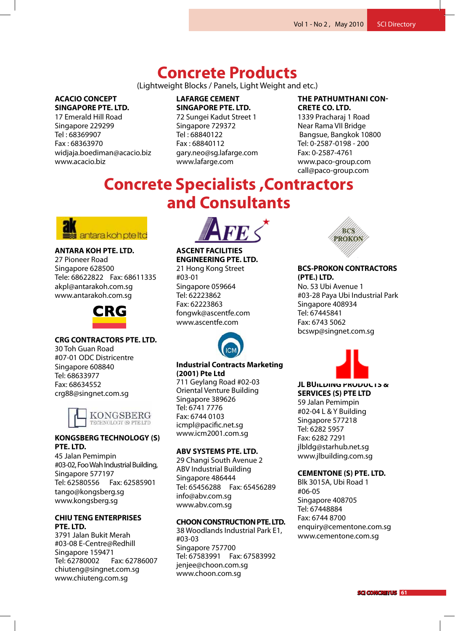Tel: 67448700 Fax: 67448884

henrylee@cementone.com.sg www.cementone.com.sg

## **Concrete Products**

2 Jalan Kilang Barat

(Lightweight Blocks / Panels, Light Weight and etc.) **PTE** 

### **ACACIO CONCEPT SINGAPORE PTE. LTD.**

17 Emerald Hill Road Singapore 229299 Tel : 68369907 Fax : 68363970 widjaja.boediman@acacio.biz www.acacio.biz

### **LAFARGE CEMENT SINGAPORE PTE. LTD.**

72 Sungei Kadut Street 1 Singapore 729372<br>— Tel : 68840122 Fax : 68840112 gary.neo@sg.lafarge.com www.lafarge.com Fax: 62723322

### **THE PATHUMTHANI CON-CRETE CO. LTD.** 168 Jalan Bukit Merah

1339 Pracharaj 1 Road 1555 Frachard<sub>J</sub> Friod<br>Near Rama VII Bridge near nama vir bridge<br>Bangsue, Bangkok 10800 Tel: 0-2587-0198 - 200 Fax: 0-2587-4761 Fax: 0-2587-476T<br>www.paco-group.com<br>... call@paco-group.com<br>**F⊭∋∈‡∩⊭∈** sue, bangkok Tu<mark>o</mark>

## **Concrete Specialists , Contractors and Consultants Consultants** ecialist<sup>,</sup>



## Tel: 64382286 **ANTARA KOH PTE. LTD. ANTARA KOH PTE LTD**

where  $\sim$  2 am sa kingg akpl@antarakoh.com.sg www.antarakoh.com.sg 27 Pioneer Road 27 Pioneer Road Singapore 628500 Singapore 628500 Tele: 68622822 Fax: 68611335 Tele: 68611335 www.antara.com



### **CRG CONTRACTORS PTE. LTD.**

**STRAITS CONSTRUCTION** #07-01 ODC Districentre 2 Jalan Kilang Barat  $\overline{Q}$  $\frac{1}{2}$ crg88@singnet.com.sg 30 Toh Guan Road aurer.com<br>Singapore 608840 om.gapore.com.com<br>Tel: 68633977 Fax: 68634552 lei: 00033977<br>-



### **KONGSBERG TECHNOLOGY (S)** PTE. LTD. 7011930ENG<br>235 130

wohat **Public Point Public Public Public Public Public Public Public Public Public Public Public Public Public Public Public Public Public Public Public Public Public Public Public Public Public Public Public Public Public**  $\sim$   $\epsilon$ 2 $\epsilon$ #03-01 Guthrie House Tel: 62580556 Fax: 62585901 singapore 2688 mental part of 26882 cm<br>tango@kongsberg.sg tango@kongsberg.sg<br>www.kongsberg.sg Fax: 62723322 45 Jalan Pemimpin #03-02, Foo Wah Industrial Building, Singapore 577197 www.noriyabery..

#### headoffice. **CHIU TENG ENTERPRISES** PTE. LTD. SHIV TENG ENTE

**Consultants** #03-08 E-Centre@Redhill hexacon@singnet.com.sg **ASCENT FACILITIES**  3791 Jalan Bukit Merah Singapore 159471 Tel: 62780002 Fax: 62786007 chiuteng@singnet.com.sg emateng@smgnetteomsg<br>www.chiuteng.com.sg 100 Changie Road



Fax: 63574188 **ASCENT FACILITIES** callie.liew@cpgcorp.com.sg **ENGINEERING PTE. LTD. ASCENT FACILITIES**  21 Hong Kong Street **MEINHARDT (SINGAPORE)**  Singapore 059664 168 Jalan Bukit Merah  $\frac{1}{2}$  $\frac{1}{\epsilon}$ fongwk@ascentfe.com www.ascentfe.com... #03-01 Tel: 62223862 Tel: 62223862 Fax: 62223863 Fax: 62223863 **EXECUTE:** LTD. #03-01 pore 059664



#### ntracts Marketing Industrial Contracts Marketing<br>(2001) Pts. Ltd Singapore 609<br>Dia manazarta **(2001) Pte Ltd**

ericchuah@straitsconstruction.com Tel: 6741 7776 711 Geylang Road #02-03 Oriental Venture Building Singapore 389626 ww.marchive.com<br>communications icmpl@pacific.net.sg **PTE LTD** www.icm2001.com.sg 168 Jalan Bukit Merah Fax: 6744 0103

#### Surbana One ABV SYSTEMS PTE. LTD.

29 Changi South Avenue 2  $\sf I$  Ruilding ABV Industrial Building<br>Ci Singapore 486444 n.sg<br>n.sa Tel: 65456288 Fax: 65456289 info@abv.com.sg www.abv.com.sg

# **Specialists CHOON CONSTRUCTION PTE. LTD.**

**ABV SYSTEMS PTE LTD** Tel: 67583991 Fax: 67583992 jenjee@choon.com.sg www.choon.com.sg Singapore 486444 38 Woodlands Industrial Park E1, #03-03 Singapore 757700



### **BCS-PROKON CONTRACTORS (PTE.) LTD.**

**No. 53 Ubi Avenue 1** #03-28 Paya Ubi Industrial Park #03-28 Paya Ubi Industrial Park Singapore 408934 Tel: 67445841 re.. 67 + 156 + 1<br>Fax: 6743 5062 bcswp@singnet.com.sg aya Ubi Industr



## **JL BUILDING PRODUCTS &**  www.cementone.com.sg

**SERVICES (S) PTE LTD** 59 Jalan Pemimpin #02-04 L & Y Building **PTE LTD** Singapore 577218 Tel: 6282 5957 Fax: 6282 7291 jlbldg@starhub.net.sg Fax: 67583992 www.jlbuilding.com.sg  $\alpha$  r bunding .arnub.net.sg

### **CEMENTONE (S) PTE. LTD. CRG CONTRACTORS PTE LTD**

Blk 3015A, Ubi Road 1 #06-05 "ss es<br>Singapore 408705 Tel: 67448884 Fax: 6744 8700 enquiry@cementone.com.sg www.cementone.com.sg e 406705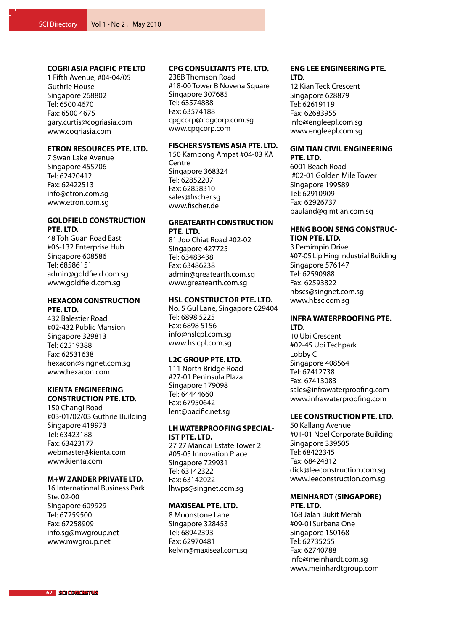### **COGRI ASIA PACIFIC PTE LTD**

1 Fifth Avenue, #04-04/05 Guthrie House Singapore 268802 Tel: 6500 4670 Fax: 6500 4675 gary.curtis@cogriasia.com www.cogriasia.com

### **ETRON RESOURCES PTE. LTD.**

7 Swan Lake Avenue Singapore 455706 Tel: 62420412 Fax: 62422513 info@etron.com.sg www.etron.com.sg

### **GOLDFIELD CONSTRUCTION PTE. LTD.**

48 Toh Guan Road East #06-132 Enterprise Hub Singapore 608586 Tel: 68586151 admin@goldfield.com.sg www.goldfield.com.sg

### **HEXACON CONSTRUCTION PTE. LTD.**

432 Balestier Road #02-432 Public Mansion Singapore 329813 Tel: 62519388 Fax: 62531638 hexacon@singnet.com.sg www.hexacon.com

### **KIENTA ENGINEERING CONSTRUCTION PTE. LTD.**

150 Changi Road #03-01/02/03 Guthrie Building Singapore 419973 Tel: 63423188 Fax: 63423177 webmaster@kienta.com www.kienta.com

### **M+W ZANDER PRIVATE LTD.**

16 International Business Park Ste. 02-00 Singapore 609929 Tel: 67259500 Fax: 67258909 info.sg@mwgroup.net www.mwgroup.net

### **CPG CONSULTANTS PTE. LTD.**

238B Thomson Road #18-00 Tower B Novena Square Singapore 307685 Tel: 63574888 Fax: 63574188 cpgcorp@cpgcorp.com.sg www.cpqcorp.com

### **FISCHER SYSTEMS ASIA PTE. LTD.**

150 Kampong Ampat #04-03 KA **Centre** Singapore 368324 Tel: 62852207 Fax: 62858310 sales@fischer.sg www.fischer.de

### **GREATEARTH CONSTRUCTION PTE. LTD.**

81 Joo Chiat Road #02-02 Singapore 427725 Tel: 63483438 Fax: 63486238 admin@greatearth.com.sg www.greatearth.com.sg

### **HSL Constructor Pte. Ltd.**

No. 5 Gul Lane, Singapore 629404 Tel: 6898 5225 Fax: 6898 5156 info@hslcpl.com.sg www.hslcpl.com.sg

### **L2C GROUP PTE. LTD.**

111 North Bridge Road #27-01 Peninsula Plaza Singapore 179098 Tel: 64444660 Fax: 67950642 lent@pacific.net.sg

### **LH WATERPROOFING SPECIAL-IST PTE. LTD.**

27 27 Mandai Estate Tower 2 #05-05 Innovation Place Singapore 729931 Tel: 63142322 Fax: 63142022 lhwps@singnet.com.sg

### **MAXISEAL PTE. LTD.**

8 Moonstone Lane Singapore 328453 Tel: 68942393 Fax: 62970481 kelvin@maxiseal.com.sg

### **ENG LEE ENGINEERING PTE. LTD.**

12 Kian Teck Crescent Singapore 628879 Tel: 62619119 Fax: 62683955 info@engleepl.com.sg www.engleepl.com.sg

### **GIM TIAN CIVIL ENGINEERING PTE. LTD.**

6001 Beach Road #02-01 Golden Mile Tower Singapore 199589 Tel: 62910909 Fax: 62926737 pauland@gimtian.com.sg

### **HENG BOON SENG CONSTRUC-TION PTE. LTD.**

3 Pemimpin Drive #07-05 Lip Hing Industrial Building Singapore 576147 Tel: 62590988 Fax: 62593822 hbscs@singnet.com.sg www.hbsc.com.sg

### **INFRA WATERPROOFING PTE. LTD.**

10 Ubi Crescent #02-45 Ubi Techpark Lobby C Singapore 408564 Tel: 67412738 Fax: 67413083 sales@infrawaterproofing.com www.infrawaterproofing.com

### **LEE CONSTRUCTION PTE. LTD.**

50 Kallang Avenue #01-01 Noel Corporate Building Singapore 339505 Tel: 68422345 Fax: 68424812 dick@leeconstruction.com.sg www.leeconstruction.com.sg

### **MEINHARDT (SINGAPORE) PTE. LTD.**

168 Jalan Bukit Merah #09-01Surbana One Singapore 150168 Tel: 62735255 Fax: 62740788 info@meinhardt.com.sg www.meinhardtgroup.com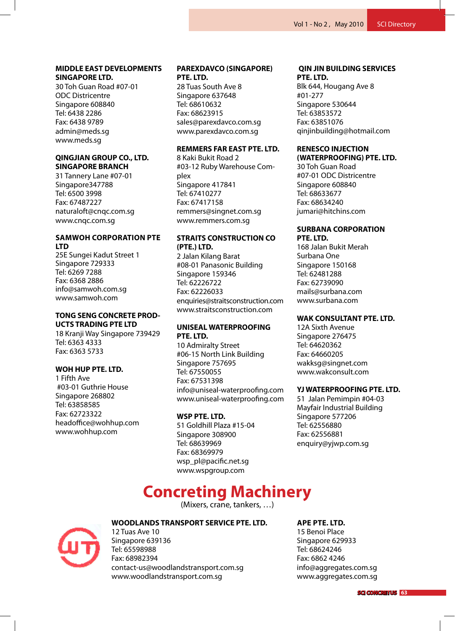### **MIDDLE EAST DEVELOPMENTS SINGAPORE LTD.**

30 Toh Guan Road #07-01 ODC Districentre Singapore 608840 Tel: 6438 2286 Fax: 6438 9789 admin@meds.sg www.meds.sg

### **QINGJIAN GROUP CO., LTD. SINGAPORE BRANCH**

31 Tannery Lane #07-01 Singapore347788 Tel: 6500 3998 Fax: 67487227 naturaloft@cnqc.com.sg www.cnqc.com.sg

### **Samwoh corporation pte ltd**

25E Sungei Kadut Street 1 Singapore 729333 Tel: 6269 7288 Fax: 6368 2886 info@samwoh.com.sg www.samwoh.com

### **TONG SENG CONCRETE PROD-UCTS TRADING PTE LTD**

18 Kranji Way Singapore 739429 Tel: 6363 4333 Fax: 6363 5733

### **WOH HUP PTE. LTD.**

1 Fifth Ave #03-01 Guthrie House Singapore 268802 Tel: 63858585 Fax: 62723322 headoffice@wohhup.com www.wohhup.com

### **PAREXDAVCO (SINGAPORE) PTE. LTD.**

28 Tuas South Ave 8 Singapore 637648 Tel: 68610632 Fax: 68623915 sales@parexdavco.com.sg www.parexdavco.com.sg

### **REMMERS FAR EAST PTE. LTD.**

8 Kaki Bukit Road 2 #03-12 Ruby Warehouse Complex Singapore 417841 Tel: 67410277 Fax: 67417158 remmers@singnet.com.sg www.remmers.com.sg

### **STRAITS CONSTRUCTION CO (PTE.) LTD.**

2 Jalan Kilang Barat #08-01 Panasonic Building Singapore 159346 Tel: 62226722 Fax: 62226033 enquiries@straitsconstruction.com www.straitsconstruction.com

### **UNISEAL WATERPROOFING PTE. LTD.**

10 Admiralty Street #06-15 North Link Building Singapore 757695 Tel: 67550055 Fax: 67531398 info@uniseal-waterproofing.com www.uniseal-waterproofing.com

### **WSP PTE. LTD.**

51 Goldhill Plaza #15-04 Singapore 308900 Tel: 68639969 Fax: 68369979 wsp\_pl@pacific.net.sg www.wspgroup.com

### **QIN JIN BUILDING SERVICES PTE. LTD.**

Blk 644, Hougang Ave 8 #01-277 Singapore 530644 Tel: 63853572 Fax: 63851076 qinjinbuilding@hotmail.com

### **RENESCO INJECTION (WATERPROOFING) PTE. LTD.**

30 Toh Guan Road #07-01 ODC Districentre Singapore 608840 Tel: 68633677 Fax: 68634240 jumari@hitchins.com

### **SURBANA CORPORATION PTE. LTD.**

168 Jalan Bukit Merah Surbana One Singapore 150168 Tel: 62481288 Fax: 62739090 mails@surbana.com www.surbana.com

### **WAK CONSULTANT PTE. LTD.**

12A Sixth Avenue Singapore 276475 Tel: 64620362 Fax: 64660205 wakksg@singnet.com www.wakconsult.com

### **YJ WATERPROOFING PTE. LTD.**

51 Jalan Pemimpin #04-03 Mayfair Industrial Building Singapore 577206 Tel: 62556880 Fax: 62556881 enquiry@yjwp.com.sg

## **Concreting Machinery**

(Mixers, crane, tankers, …)



### **WOODLANDS TRANSPORT SERVICE PTE. LTD.**

12 Tuas Ave 10 Singapore 639136 Tel: 65598988 Fax: 68982394 contact-us@woodlandstransport.com.sg www.woodlandstransport.com.sg

### **APE Pte. Ltd.**

15 Benoi Place Singapore 629933 Tel: 68624246 Fax: 6862 4246 info@aggregates.com.sg www.aggregates.com.sg